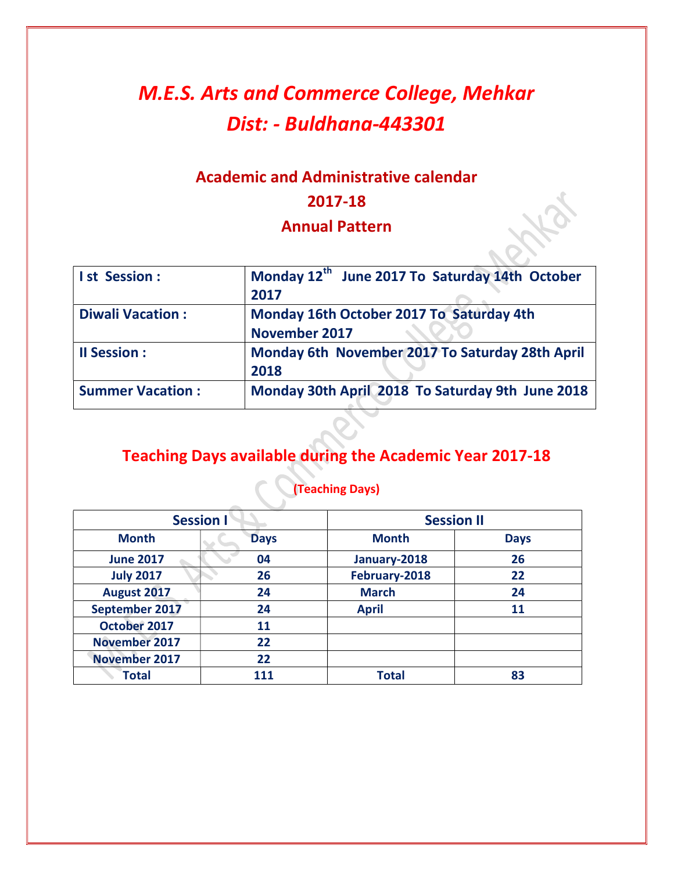# M.E.S. Arts and Commerce College, Mehkar Dist: - Buldhana-443301

## Academic and Administrative calendar 2017-18

#### Annual Pattern

| <b>Ist Session:</b>     | Monday 12 <sup>th</sup> June 2017 To Saturday 14th October<br>2017 |
|-------------------------|--------------------------------------------------------------------|
| <b>Diwali Vacation:</b> | Monday 16th October 2017 To Saturday 4th<br><b>November 2017</b>   |
| <b>Il Session:</b>      | Monday 6th November 2017 To Saturday 28th April<br>2018            |
| <b>Summer Vacation:</b> | Monday 30th April 2018 To Saturday 9th June 2018                   |

## Teaching Days available during the Academic Year 2017-18

|                      | <b>Session I</b> | <b>Session II</b> |             |
|----------------------|------------------|-------------------|-------------|
| <b>Month</b>         | <b>Days</b>      | <b>Month</b>      | <b>Days</b> |
| <b>June 2017</b>     | 04               | January-2018      | 26          |
| <b>July 2017</b>     | 26               | February-2018     | 22          |
| August 2017          | 24               | <b>March</b>      | 24          |
| September 2017       | 24               | <b>April</b>      | 11          |
| October 2017         | 11               |                   |             |
| <b>November 2017</b> | 22               |                   |             |
| <b>November 2017</b> | 22               |                   |             |
| <b>Total</b>         |                  | <b>Total</b>      | 83          |

## (Teaching Days)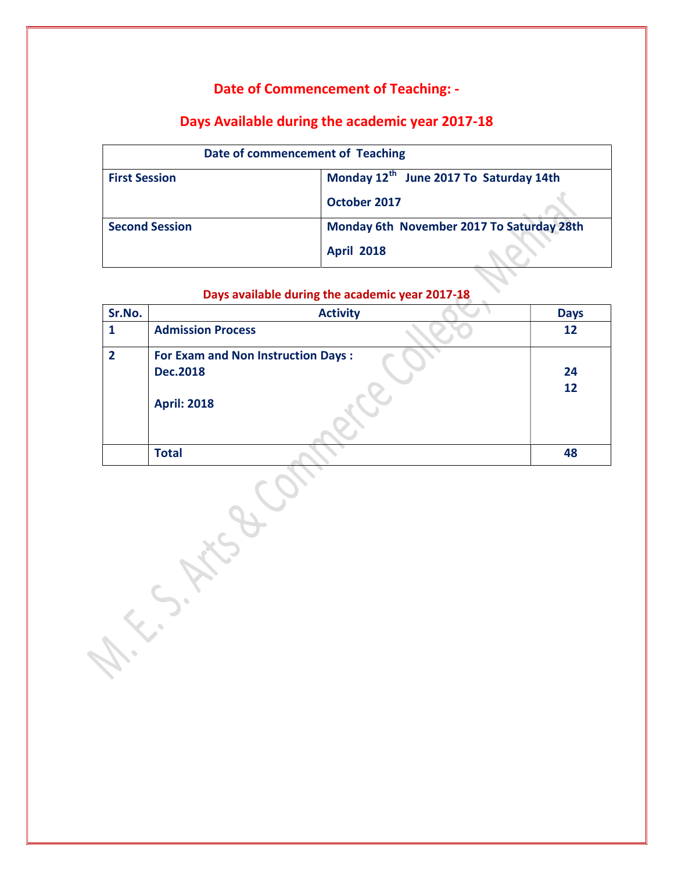#### Date of Commencement of Teaching: -

#### Days Available during the academic year 2017-18

| Date of commencement of Teaching |                                           |
|----------------------------------|-------------------------------------------|
| <b>First Session</b>             | Monday 12th June 2017 To Saturday 14th    |
|                                  | October 2017                              |
| <b>Second Session</b>            | Monday 6th November 2017 To Saturday 28th |
|                                  | <b>April 2018</b>                         |

#### Days available during the academic year 2017-18

| Sr.No.         | <b>Activity</b>                                                                    | <b>Days</b> |
|----------------|------------------------------------------------------------------------------------|-------------|
|                | <b>Admission Process</b>                                                           | 12          |
| $\overline{2}$ | <b>For Exam and Non Instruction Days:</b><br><b>Dec.2018</b><br><b>April: 2018</b> | 24<br>12    |
|                | <b>Total</b>                                                                       | 48          |

A. S. Mago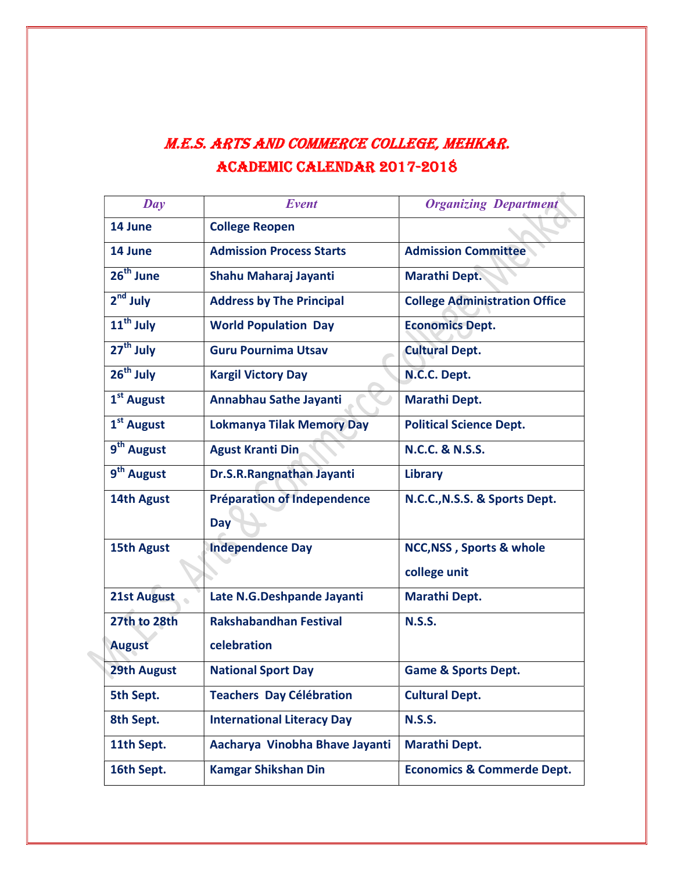## M.E.S. ArtS And CoMMErCE CollEgE, MEhkAr. ACAdEMiC CAlEndAr 2017-2018

| $\boldsymbol{D}\boldsymbol{a}\boldsymbol{v}$ | Event                             | <b>Organizing Department</b>          |
|----------------------------------------------|-----------------------------------|---------------------------------------|
| 14 June                                      | <b>College Reopen</b>             |                                       |
| 14 June                                      | <b>Admission Process Starts</b>   | <b>Admission Committee</b>            |
| $26th$ June                                  | Shahu Maharaj Jayanti             | <b>Marathi Dept.</b>                  |
| $2nd$ July                                   | <b>Address by The Principal</b>   | <b>College Administration Office</b>  |
| 11 <sup>th</sup> July                        | <b>World Population Day</b>       | <b>Economics Dept.</b>                |
| 27 <sup>th</sup> July                        | <b>Guru Pournima Utsav</b>        | <b>Cultural Dept.</b>                 |
| $26th$ July                                  | <b>Kargil Victory Day</b>         | N.C.C. Dept.                          |
| 1 <sup>st</sup> August                       | Annabhau Sathe Jayanti            | <b>Marathi Dept.</b>                  |
| 1 <sup>st</sup> August                       | <b>Lokmanya Tilak Memory Day</b>  | <b>Political Science Dept.</b>        |
| 9 <sup>th</sup> August                       | <b>Agust Kranti Din</b>           | <b>N.C.C. &amp; N.S.S.</b>            |
| 9 <sup>th</sup> August                       | Dr.S.R.Rangnathan Jayanti         | <b>Library</b>                        |
| 14th Agust                                   | Préparation of Independence       | N.C.C., N.S.S. & Sports Dept.         |
|                                              | <b>Day</b>                        |                                       |
| <b>15th Agust</b>                            | <b>Independence Day</b>           | NCC, NSS, Sports & whole              |
|                                              |                                   | college unit                          |
| 21st August                                  | Late N.G.Deshpande Jayanti        | <b>Marathi Dept.</b>                  |
| 27th to 28th                                 | <b>Rakshabandhan Festival</b>     | <b>N.S.S.</b>                         |
| <b>August</b>                                | celebration                       |                                       |
| <b>29th August</b>                           | <b>National Sport Day</b>         | <b>Game &amp; Sports Dept.</b>        |
| 5th Sept.                                    | <b>Teachers Day Célébration</b>   | <b>Cultural Dept.</b>                 |
| 8th Sept.                                    | <b>International Literacy Day</b> | <b>N.S.S.</b>                         |
| 11th Sept.                                   | Aacharya Vinobha Bhave Jayanti    | Marathi Dept.                         |
| 16th Sept.                                   | <b>Kamgar Shikshan Din</b>        | <b>Economics &amp; Commerde Dept.</b> |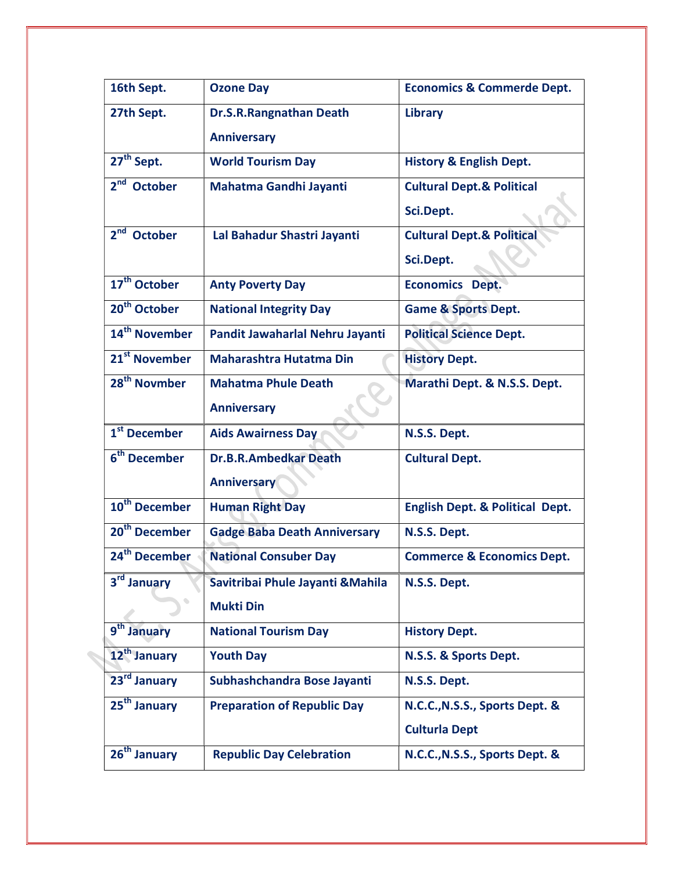| 16th Sept.                | <b>Ozone Day</b>                    | <b>Economics &amp; Commerde Dept.</b>      |
|---------------------------|-------------------------------------|--------------------------------------------|
| 27th Sept.                | Dr.S.R.Rangnathan Death             | Library                                    |
|                           | <b>Anniversary</b>                  |                                            |
| 27 <sup>th</sup> Sept.    | <b>World Tourism Day</b>            | <b>History &amp; English Dept.</b>         |
| $2nd$ October             | Mahatma Gandhi Jayanti              | <b>Cultural Dept.&amp; Political</b>       |
|                           |                                     | Sci.Dept.                                  |
| $2nd$ October             | Lal Bahadur Shastri Jayanti         | <b>Cultural Dept.&amp; Political</b>       |
|                           |                                     | Sci.Dept.                                  |
| 17 <sup>th</sup> October  | <b>Anty Poverty Day</b>             | <b>Economics Dept.</b>                     |
| 20 <sup>th</sup> October  | <b>National Integrity Day</b>       | <b>Game &amp; Sports Dept.</b>             |
| 14 <sup>th</sup> November | Pandit Jawaharlal Nehru Jayanti     | <b>Political Science Dept.</b>             |
| 21 <sup>st</sup> November | <b>Maharashtra Hutatma Din</b>      | <b>History Dept.</b>                       |
| 28 <sup>th</sup> Novmber  | <b>Mahatma Phule Death</b>          | Marathi Dept. & N.S.S. Dept.               |
|                           | <b>Anniversary</b>                  |                                            |
| 1 <sup>st</sup> December  | <b>Aids Awairness Day</b>           | N.S.S. Dept.                               |
| 6 <sup>th</sup> December  | <b>Dr.B.R.Ambedkar Death</b>        | <b>Cultural Dept.</b>                      |
|                           | <b>Anniversary</b>                  |                                            |
| 10 <sup>th</sup> December | <b>Human Right Day</b>              | <b>English Dept. &amp; Political Dept.</b> |
| 20 <sup>th</sup> December | <b>Gadge Baba Death Anniversary</b> | N.S.S. Dept.                               |
| 24 <sup>th</sup> December | <b>National Consuber Day</b>        | <b>Commerce &amp; Economics Dept.</b>      |
| 3rd January               | Savitribai Phule Jayanti & Mahila   | N.S.S. Dept.                               |
|                           | <b>Mukti Din</b>                    |                                            |
| 9 <sup>th</sup> January   | <b>National Tourism Day</b>         | <b>History Dept.</b>                       |
| 12 <sup>th</sup> January  | <b>Youth Day</b>                    | N.S.S. & Sports Dept.                      |
| 23rd January              | Subhashchandra Bose Jayanti         | N.S.S. Dept.                               |
| 25 <sup>th</sup> January  | <b>Preparation of Republic Day</b>  | N.C.C., N.S.S., Sports Dept. &             |
|                           |                                     | <b>Culturla Dept</b>                       |
| 26 <sup>th</sup> January  | <b>Republic Day Celebration</b>     | N.C.C., N.S.S., Sports Dept. &             |